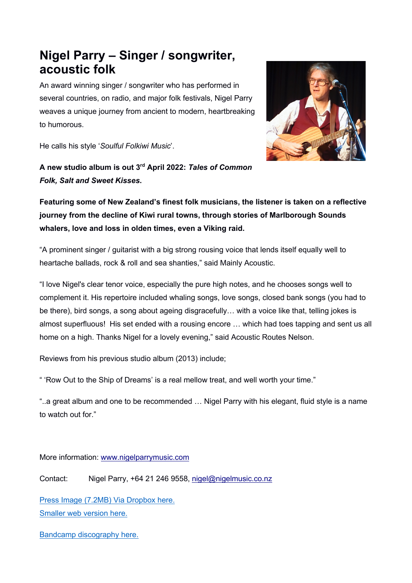## **Nigel Parry – Singer / songwriter, acoustic folk**

An award winning singer / songwriter who has performed in several countries, on radio, and major folk festivals, Nigel Parry weaves a unique journey from ancient to modern, heartbreaking to humorous.



He calls his style '*Soulful Folkiwi Music*'.

**A new studio album is out 3rd April 2022:** *Tales of Common Folk, Salt and Sweet Kisses***.**

**Featuring some of New Zealand's finest folk musicians, the listener is taken on a reflective journey from the decline of Kiwi rural towns, through stories of Marlborough Sounds whalers, love and loss in olden times, even a Viking raid.**

"A prominent singer / guitarist with a big strong rousing voice that lends itself equally well to heartache ballads, rock & roll and sea shanties," said Mainly Acoustic.

"I love Nigel's clear tenor voice, especially the pure high notes, and he chooses songs well to complement it. His repertoire included whaling songs, love songs, closed bank songs (you had to be there), bird songs, a song about ageing disgracefully… with a voice like that, telling jokes is almost superfluous! His set ended with a rousing encore … which had toes tapping and sent us all home on a high. Thanks Nigel for a lovely evening," said Acoustic Routes Nelson.

Reviews from his previous studio album (2013) include;

" 'Row Out to the Ship of Dreams' is a real mellow treat, and well worth your time."

"..a great album and one to be recommended … Nigel Parry with his elegant, fluid style is a name to watch out for."

More information: www.nigelparrymusic.com

Contact: Nigel Parry, +64 21 246 9558, nigel@nigelmusic.co.nz

Press Image (7.2MB) Via Dropbox here. Smaller web version here.

Bandcamp discography here.